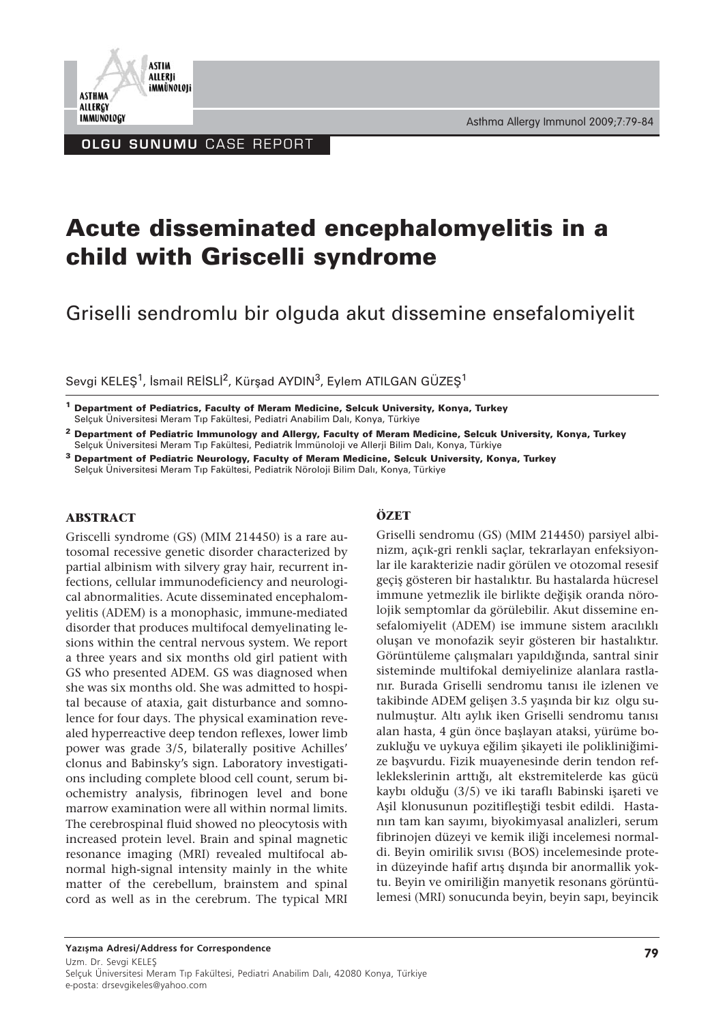

OLGU SUNUMU CASE REPORT

# **Acute disseminated encephalomyelitis in a child with Griscelli syndrome**

Griselli sendromlu bir olguda akut dissemine ensefalomiyelit

Sevgi KELEŞ<sup>1</sup>, İsmail REİSLİ<sup>2</sup>, Kürşad AYDIN<sup>3</sup>, Eylem ATILGAN GÜZEŞ<sup>1</sup>

**<sup>1</sup> Department of Pediatrics, Faculty of Meram Medicine, Selcuk University, Konya, Turkey** Selçuk Üniversitesi Meram Tıp Fakültesi, Pediatri Anabilim Dalı, Konya, Türkiye

**<sup>2</sup> Department of Pediatric Immunology and Allergy, Faculty of Meram Medicine, Selcuk University, Konya, Turkey** Selçuk Üniversitesi Meram Tıp Fakültesi, Pediatrik İmmünoloji ve Allerji Bilim Dalı, Konya, Türkiye

**<sup>3</sup> Department of Pediatric Neurology, Faculty of Meram Medicine, Selcuk University, Konya, Turkey** Selçuk Üniversitesi Meram Tıp Fakültesi, Pediatrik Nöroloji Bilim Dalı, Konya, Türkiye

#### **ABSTRACT**

Griscelli syndrome (GS) (MIM 214450) is a rare autosomal recessive genetic disorder characterized by partial albinism with silvery gray hair, recurrent infections, cellular immunodeficiency and neurological abnormalities. Acute disseminated encephalomyelitis (ADEM) is a monophasic, immune-mediated disorder that produces multifocal demyelinating lesions within the central nervous system. We report a three years and six months old girl patient with GS who presented ADEM. GS was diagnosed when she was six months old. She was admitted to hospital because of ataxia, gait disturbance and somnolence for four days. The physical examination revealed hyperreactive deep tendon reflexes, lower limb power was grade 3/5, bilaterally positive Achilles' clonus and Babinsky's sign. Laboratory investigations including complete blood cell count, serum biochemistry analysis, fibrinogen level and bone marrow examination were all within normal limits. The cerebrospinal fluid showed no pleocytosis with increased protein level. Brain and spinal magnetic resonance imaging (MRI) revealed multifocal abnormal high-signal intensity mainly in the white matter of the cerebellum, brainstem and spinal cord as well as in the cerebrum. The typical MRI

#### **ÖZET**

Griselli sendromu (GS) (MIM 214450) parsiyel albinizm, açık-gri renkli saçlar, tekrarlayan enfeksiyonlar ile karakterizie nadir görülen ve otozomal resesif geçiş gösteren bir hastalıktır. Bu hastalarda hücresel immune yetmezlik ile birlikte değişik oranda nörolojik semptomlar da görülebilir. Akut dissemine ensefalomiyelit (ADEM) ise immune sistem aracılıklı oluşan ve monofazik seyir gösteren bir hastalıktır. Görüntüleme çalışmaları yapıldığında, santral sinir sisteminde multifokal demiyelinize alanlara rastlanır. Burada Griselli sendromu tanısı ile izlenen ve takibinde ADEM gelişen 3.5 yaşında bir kız olgu sunulmuştur. Altı aylık iken Griselli sendromu tanısı alan hasta, 4 gün önce başlayan ataksi, yürüme bozukluğu ve uykuya eğilim şikayeti ile polikliniğimize başvurdu. Fizik muayenesinde derin tendon refleklekslerinin arttığı, alt ekstremitelerde kas gücü kaybı olduğu (3/5) ve iki taraflı Babinski işareti ve Aşil klonusunun pozitifleştiği tesbit edildi. Hastanın tam kan sayımı, biyokimyasal analizleri, serum fibrinojen düzeyi ve kemik iliği incelemesi normaldi. Beyin omirilik sıvısı (BOS) incelemesinde protein düzeyinde hafif artış dışında bir anormallik yoktu. Beyin ve omiriliğin manyetik resonans görüntülemesi (MRI) sonucunda beyin, beyin sapı, beyincik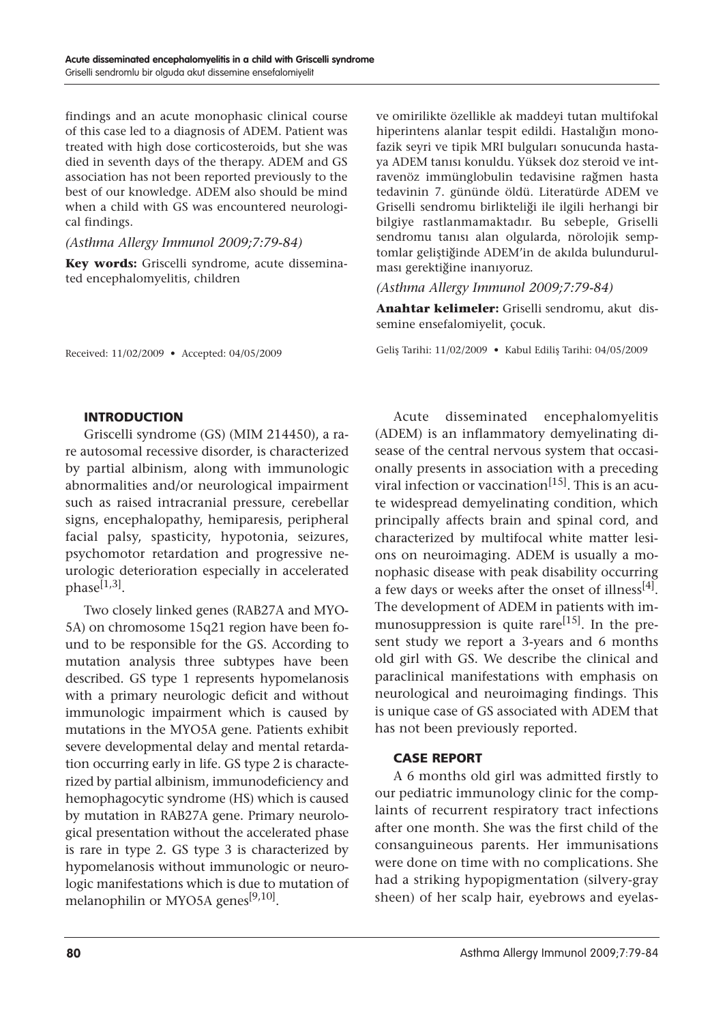findings and an acute monophasic clinical course of this case led to a diagnosis of ADEM. Patient was treated with high dose corticosteroids, but she was died in seventh days of the therapy. ADEM and GS association has not been reported previously to the best of our knowledge. ADEM also should be mind when a child with GS was encountered neurological findings.

*(Asthma Allergy Immunol 2009;7:79-84)*

**Key words:** Griscelli syndrome, acute disseminated encephalomyelitis, children

Received: 11/02/2009 • Accepted: 04/05/2009

ve omirilikte özellikle ak maddeyi tutan multifokal hiperintens alanlar tespit edildi. Hastalığın monofazik seyri ve tipik MRI bulguları sonucunda hastaya ADEM tanısı konuldu. Yüksek doz steroid ve intravenöz immünglobulin tedavisine rağmen hasta tedavinin 7. gününde öldü. Literatürde ADEM ve Griselli sendromu birlikteliği ile ilgili herhangi bir bilgiye rastlanmamaktadır. Bu sebeple, Griselli sendromu tanısı alan olgularda, nörolojik semptomlar geliştiğinde ADEM'in de akılda bulundurulması gerektiğine inanıyoruz.

*(Asthma Allergy Immunol 2009;7:79-84)*

**Anahtar kelimeler:** Griselli sendromu, akut dissemine ensefalomiyelit, çocuk.

Geliş Tarihi: 11/02/2009 • Kabul Ediliş Tarihi: 04/05/2009

#### INTRODUCTION

Griscelli syndrome (GS) (MIM 214450), a rare autosomal recessive disorder, is characterized by partial albinism, along with immunologic abnormalities and/or neurological impairment such as raised intracranial pressure, cerebellar signs, encephalopathy, hemiparesis, peripheral facial palsy, spasticity, hypotonia, seizures, psychomotor retardation and progressive neurologic deterioration especially in accelerated  $phase^{[1,3]}$ .

Two closely linked genes (RAB27A and MYO-5A) on chromosome 15q21 region have been found to be responsible for the GS. According to mutation analysis three subtypes have been described. GS type 1 represents hypomelanosis with a primary neurologic deficit and without immunologic impairment which is caused by mutations in the MYO5A gene. Patients exhibit severe developmental delay and mental retardation occurring early in life. GS type 2 is characterized by partial albinism, immunodeficiency and hemophagocytic syndrome (HS) which is caused by mutation in RAB27A gene. Primary neurological presentation without the accelerated phase is rare in type 2. GS type 3 is characterized by hypomelanosis without immunologic or neurologic manifestations which is due to mutation of melanophilin or MYO5A genes<sup>[9,10]</sup>.

Acute disseminated encephalomyelitis (ADEM) is an inflammatory demyelinating disease of the central nervous system that occasionally presents in association with a preceding viral infection or vaccination<sup>[15]</sup>. This is an acute widespread demyelinating condition, which principally affects brain and spinal cord, and characterized by multifocal white matter lesions on neuroimaging. ADEM is usually a monophasic disease with peak disability occurring a few days or weeks after the onset of illness<sup>[4]</sup>. The development of ADEM in patients with immunosuppression is quite rare<sup>[15]</sup>. In the present study we report a 3-years and 6 months old girl with GS. We describe the clinical and paraclinical manifestations with emphasis on neurological and neuroimaging findings. This is unique case of GS associated with ADEM that has not been previously reported.

### CASE REPORT

A 6 months old girl was admitted firstly to our pediatric immunology clinic for the complaints of recurrent respiratory tract infections after one month. She was the first child of the consanguineous parents. Her immunisations were done on time with no complications. She had a striking hypopigmentation (silvery-gray sheen) of her scalp hair, eyebrows and eyelas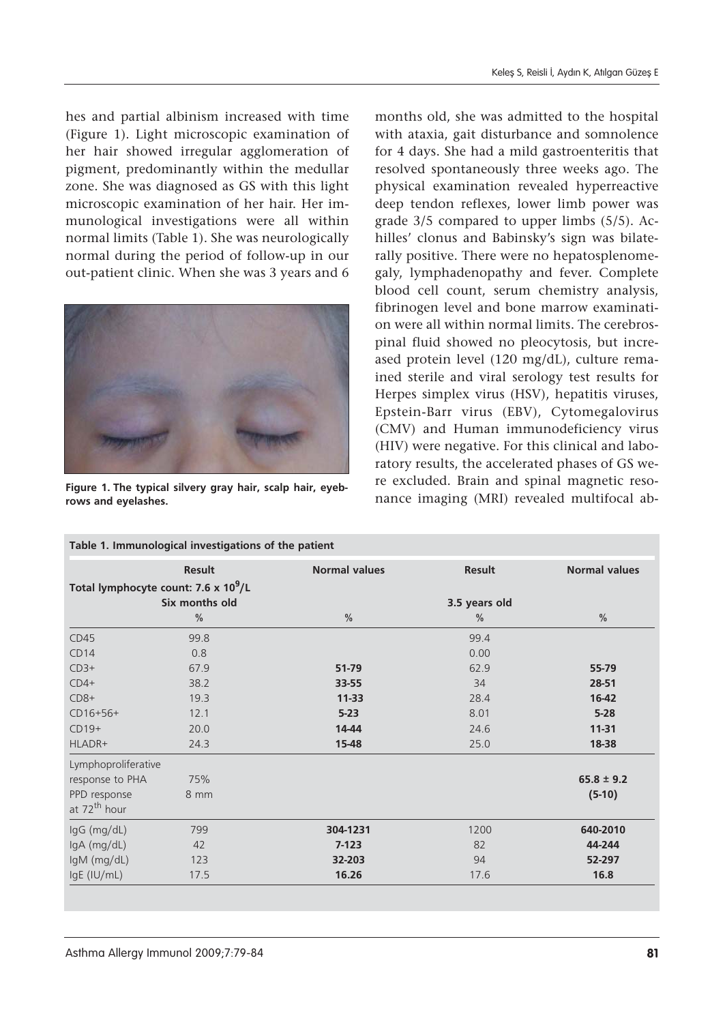hes and partial albinism increased with time (Figure 1). Light microscopic examination of her hair showed irregular agglomeration of pigment, predominantly within the medullar zone. She was diagnosed as GS with this light microscopic examination of her hair. Her immunological investigations were all within normal limits (Table 1). She was neurologically normal during the period of follow-up in our out-patient clinic. When she was 3 years and 6



**Figure 1. The typical silvery gray hair, scalp hair, eyebrows and eyelashes.**

months old, she was admitted to the hospital with ataxia, gait disturbance and somnolence for 4 days. She had a mild gastroenteritis that resolved spontaneously three weeks ago. The physical examination revealed hyperreactive deep tendon reflexes, lower limb power was grade 3/5 compared to upper limbs (5/5). Achilles' clonus and Babinsky's sign was bilaterally positive. There were no hepatosplenomegaly, lymphadenopathy and fever. Complete blood cell count, serum chemistry analysis, fibrinogen level and bone marrow examination were all within normal limits. The cerebrospinal fluid showed no pleocytosis, but increased protein level (120 mg/dL), culture remained sterile and viral serology test results for Herpes simplex virus (HSV), hepatitis viruses, Epstein-Barr virus (EBV), Cytomegalovirus (CMV) and Human immunodeficiency virus (HIV) were negative. For this clinical and laboratory results, the accelerated phases of GS were excluded. Brain and spinal magnetic resonance imaging (MRI) revealed multifocal ab-

|                                                                    | <b>Result</b> | <b>Normal values</b> | <b>Result</b> | <b>Normal values</b> |
|--------------------------------------------------------------------|---------------|----------------------|---------------|----------------------|
| Total lymphocyte count: 7.6 x 10 <sup>9</sup> /L<br>Six months old |               |                      | 3.5 years old |                      |
|                                                                    | $\frac{0}{0}$ | $\frac{0}{0}$        | $\frac{0}{0}$ | $\frac{0}{0}$        |
| CD45                                                               | 99.8          |                      | 99.4          |                      |
| CD14                                                               | 0.8           |                      | 0.00          |                      |
| $CD3+$                                                             | 67.9          | 51-79                | 62.9          | 55-79                |
| $CD4+$                                                             | 38.2          | 33-55                | 34            | 28-51                |
| $CD8+$                                                             | 19.3          | $11 - 33$            | 28.4          | 16-42                |
| $CD16+56+$                                                         | 12.1          | $5 - 23$             | 8.01          | $5-28$               |
| $CD19+$                                                            | 20.0          | 14-44                | 24.6          | $11 - 31$            |
| HLADR+                                                             | 24.3          | 15-48                | 25.0          | 18-38                |
| Lymphoproliferative                                                |               |                      |               |                      |
| response to PHA                                                    | 75%           |                      |               | $65.8 \pm 9.2$       |
| PPD response<br>at 72 <sup>th</sup> hour                           | 8 mm          |                      |               | $(5-10)$             |
| $lgG$ (mg/dL)                                                      | 799           | 304-1231             | 1200          | 640-2010             |
| $lgA$ (mg/dL)                                                      | 42            | $7-123$              | 82            | 44-244               |
| IgM (mg/dL)                                                        | 123           | 32-203               | 94            | 52-297               |
| IgE (IU/mL)                                                        | 17.5          | 16.26                | 17.6          | 16.8                 |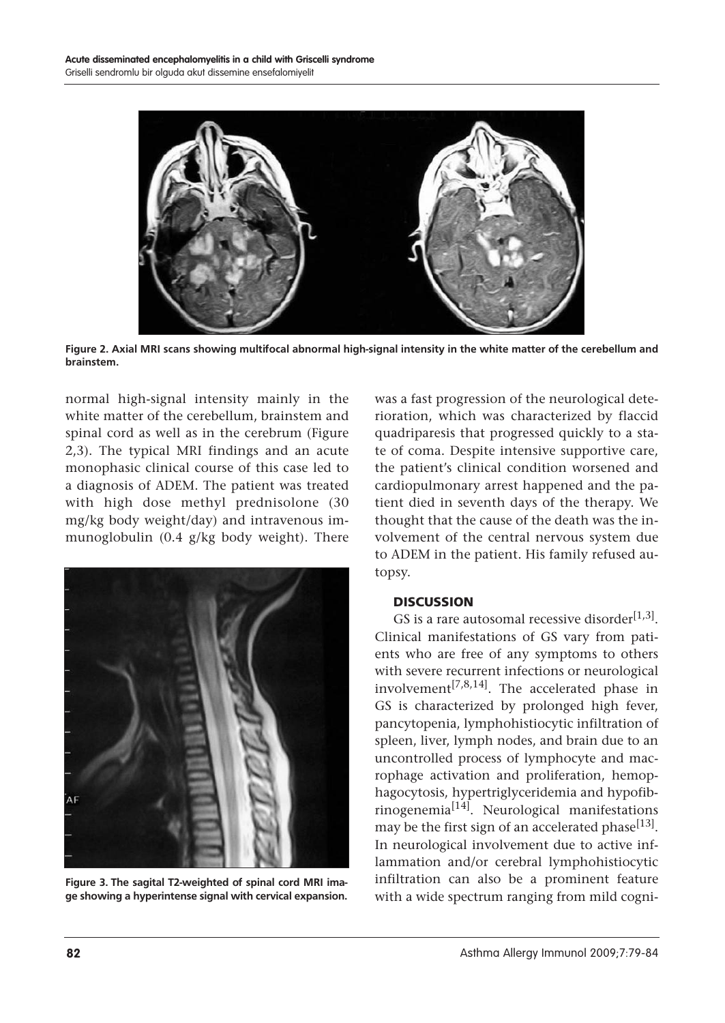

**Figure 2. Axial MRI scans showing multifocal abnormal high-signal intensity in the white matter of the cerebellum and brainstem.**

normal high-signal intensity mainly in the white matter of the cerebellum, brainstem and spinal cord as well as in the cerebrum (Figure 2,3). The typical MRI findings and an acute monophasic clinical course of this case led to a diagnosis of ADEM. The patient was treated with high dose methyl prednisolone (30 mg/kg body weight/day) and intravenous immunoglobulin (0.4 g/kg body weight). There



**Figure 3. The sagital T2-weighted of spinal cord MRI image showing a hyperintense signal with cervical expansion.**

was a fast progression of the neurological deterioration, which was characterized by flaccid quadriparesis that progressed quickly to a state of coma. Despite intensive supportive care, the patient's clinical condition worsened and cardiopulmonary arrest happened and the patient died in seventh days of the therapy. We thought that the cause of the death was the involvement of the central nervous system due to ADEM in the patient. His family refused autopsy.

#### **DISCUSSION**

GS is a rare autosomal recessive disorder<sup>[1,3]</sup>. Clinical manifestations of GS vary from patients who are free of any symptoms to others with severe recurrent infections or neurological involvement<sup>[7,8,14]</sup>. The accelerated phase in GS is characterized by prolonged high fever, pancytopenia, lymphohistiocytic infiltration of spleen, liver, lymph nodes, and brain due to an uncontrolled process of lymphocyte and macrophage activation and proliferation, hemophagocytosis, hypertriglyceridemia and hypofib $r$ inogenemia $^{[14]}$ . Neurological manifestations may be the first sign of an accelerated phase<sup>[13]</sup>. In neurological involvement due to active inflammation and/or cerebral lymphohistiocytic infiltration can also be a prominent feature with a wide spectrum ranging from mild cogni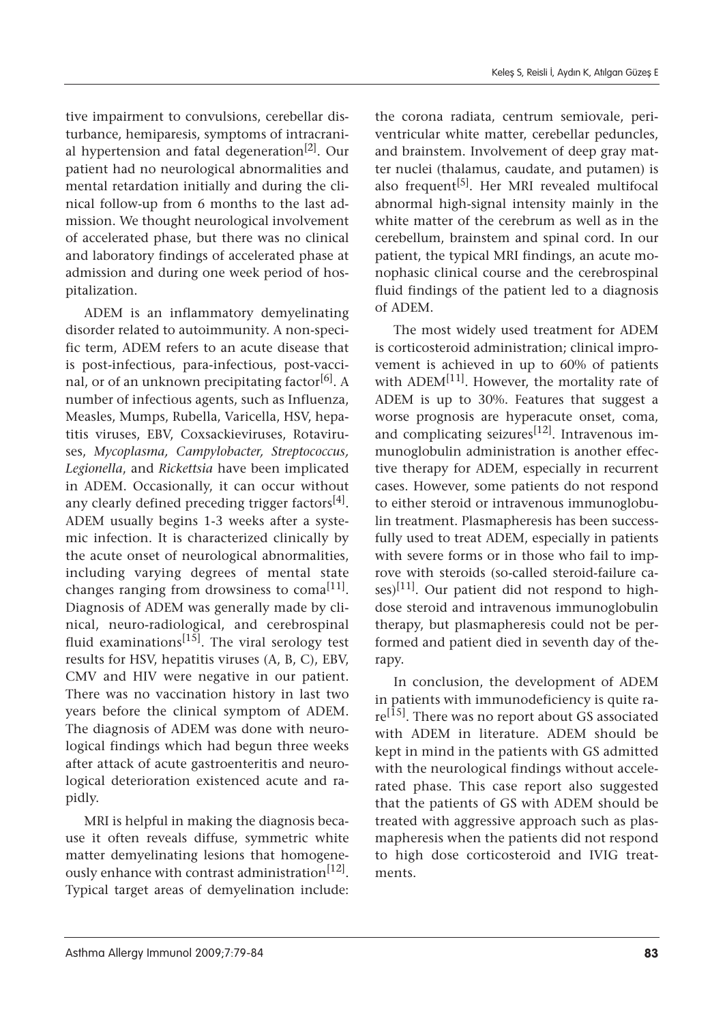tive impairment to convulsions, cerebellar disturbance, hemiparesis, symptoms of intracranial hypertension and fatal degeneration<sup>[2]</sup>. Our patient had no neurological abnormalities and mental retardation initially and during the clinical follow-up from 6 months to the last admission. We thought neurological involvement of accelerated phase, but there was no clinical and laboratory findings of accelerated phase at admission and during one week period of hospitalization.

ADEM is an inflammatory demyelinating disorder related to autoimmunity. A non-specific term, ADEM refers to an acute disease that is post-infectious, para-infectious, post-vaccinal, or of an unknown precipitating factor<sup>[6]</sup>. A number of infectious agents, such as Influenza, Measles, Mumps, Rubella, Varicella, HSV, hepatitis viruses, EBV, Coxsackieviruses, Rotaviruses, *Mycoplasma, Campylobacter, Streptococcus, Legionella*, and *Rickettsia* have been implicated in ADEM. Occasionally, it can occur without any clearly defined preceding trigger factors $[4]$ . ADEM usually begins 1-3 weeks after a systemic infection. It is characterized clinically by the acute onset of neurological abnormalities, including varying degrees of mental state changes ranging from drowsiness to coma<sup>[11]</sup>. Diagnosis of ADEM was generally made by clinical, neuro-radiological, and cerebrospinal fluid examinations<sup>[15]</sup>. The viral serology test results for HSV, hepatitis viruses (A, B, C), EBV, CMV and HIV were negative in our patient. There was no vaccination history in last two years before the clinical symptom of ADEM. The diagnosis of ADEM was done with neurological findings which had begun three weeks after attack of acute gastroenteritis and neurological deterioration existenced acute and rapidly.

MRI is helpful in making the diagnosis because it often reveals diffuse, symmetric white matter demyelinating lesions that homogeneously enhance with contrast administration<sup>[12]</sup>. Typical target areas of demyelination include:

the corona radiata, centrum semiovale, periventricular white matter, cerebellar peduncles, and brainstem. Involvement of deep gray matter nuclei (thalamus, caudate, and putamen) is also frequent<sup>[5]</sup>. Her MRI revealed multifocal abnormal high-signal intensity mainly in the white matter of the cerebrum as well as in the cerebellum, brainstem and spinal cord. In our patient, the typical MRI findings, an acute monophasic clinical course and the cerebrospinal fluid findings of the patient led to a diagnosis of ADEM.

The most widely used treatment for ADEM is corticosteroid administration; clinical improvement is achieved in up to 60% of patients with ADEM<sup>[11]</sup>. However, the mortality rate of ADEM is up to 30%. Features that suggest a worse prognosis are hyperacute onset, coma, and complicating seizures<sup>[12]</sup>. Intravenous immunoglobulin administration is another effective therapy for ADEM, especially in recurrent cases. However, some patients do not respond to either steroid or intravenous immunoglobulin treatment. Plasmapheresis has been successfully used to treat ADEM, especially in patients with severe forms or in those who fail to improve with steroids (so-called steroid-failure ca $ses$ <sup>[11]</sup>. Our patient did not respond to highdose steroid and intravenous immunoglobulin therapy, but plasmapheresis could not be performed and patient died in seventh day of therapy.

In conclusion, the development of ADEM in patients with immunodeficiency is quite rare<sup>[15]</sup>. There was no report about GS associated with ADEM in literature. ADEM should be kept in mind in the patients with GS admitted with the neurological findings without accelerated phase. This case report also suggested that the patients of GS with ADEM should be treated with aggressive approach such as plasmapheresis when the patients did not respond to high dose corticosteroid and IVIG treatments.